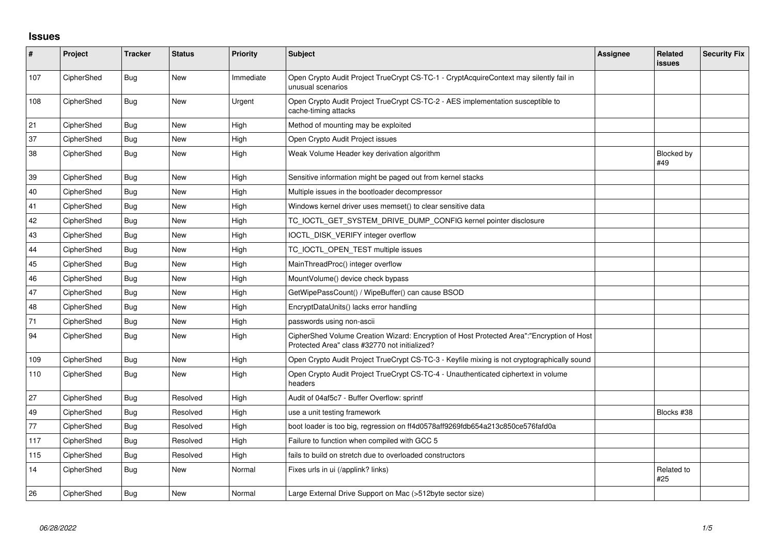## **Issues**

| #   | Project    | <b>Tracker</b> | <b>Status</b> | <b>Priority</b> | <b>Subject</b>                                                                                                                             | <b>Assignee</b> | <b>Related</b><br>issues | <b>Security Fix</b> |
|-----|------------|----------------|---------------|-----------------|--------------------------------------------------------------------------------------------------------------------------------------------|-----------------|--------------------------|---------------------|
| 107 | CipherShed | Bug            | New           | Immediate       | Open Crypto Audit Project TrueCrypt CS-TC-1 - CryptAcquireContext may silently fail in<br>unusual scenarios                                |                 |                          |                     |
| 108 | CipherShed | <b>Bug</b>     | <b>New</b>    | Urgent          | Open Crypto Audit Project TrueCrypt CS-TC-2 - AES implementation susceptible to<br>cache-timing attacks                                    |                 |                          |                     |
| 21  | CipherShed | <b>Bug</b>     | <b>New</b>    | High            | Method of mounting may be exploited                                                                                                        |                 |                          |                     |
| 37  | CipherShed | Bug            | New           | High            | Open Crypto Audit Project issues                                                                                                           |                 |                          |                     |
| 38  | CipherShed | Bug            | New           | High            | Weak Volume Header key derivation algorithm                                                                                                |                 | <b>Blocked by</b><br>#49 |                     |
| 39  | CipherShed | Bug            | <b>New</b>    | High            | Sensitive information might be paged out from kernel stacks                                                                                |                 |                          |                     |
| 40  | CipherShed | Bug            | <b>New</b>    | High            | Multiple issues in the bootloader decompressor                                                                                             |                 |                          |                     |
| 41  | CipherShed | <b>Bug</b>     | <b>New</b>    | High            | Windows kernel driver uses memset() to clear sensitive data                                                                                |                 |                          |                     |
| 42  | CipherShed | Bug            | New           | High            | TC_IOCTL_GET_SYSTEM_DRIVE_DUMP_CONFIG kernel pointer disclosure                                                                            |                 |                          |                     |
| 43  | CipherShed | Bug            | <b>New</b>    | High            | IOCTL DISK VERIFY integer overflow                                                                                                         |                 |                          |                     |
| 44  | CipherShed | Bug            | New           | High            | TC IOCTL OPEN TEST multiple issues                                                                                                         |                 |                          |                     |
| 45  | CipherShed | Bug            | <b>New</b>    | High            | MainThreadProc() integer overflow                                                                                                          |                 |                          |                     |
| 46  | CipherShed | Bug            | New           | High            | MountVolume() device check bypass                                                                                                          |                 |                          |                     |
| 47  | CipherShed | Bug            | <b>New</b>    | High            | GetWipePassCount() / WipeBuffer() can cause BSOD                                                                                           |                 |                          |                     |
| 48  | CipherShed | Bug            | New           | High            | EncryptDataUnits() lacks error handling                                                                                                    |                 |                          |                     |
| 71  | CipherShed | Bug            | New           | High            | passwords using non-ascii                                                                                                                  |                 |                          |                     |
| 94  | CipherShed | Bug            | New           | High            | CipherShed Volume Creation Wizard: Encryption of Host Protected Area":"Encryption of Host<br>Protected Area" class #32770 not initialized? |                 |                          |                     |
| 109 | CipherShed | <b>Bug</b>     | New           | High            | Open Crypto Audit Project TrueCrypt CS-TC-3 - Keyfile mixing is not cryptographically sound                                                |                 |                          |                     |
| 110 | CipherShed | Bug            | <b>New</b>    | High            | Open Crypto Audit Project TrueCrypt CS-TC-4 - Unauthenticated ciphertext in volume<br>headers                                              |                 |                          |                     |
| 27  | CipherShed | Bug            | Resolved      | High            | Audit of 04af5c7 - Buffer Overflow: sprintf                                                                                                |                 |                          |                     |
| 49  | CipherShed | Bug            | Resolved      | High            | use a unit testing framework                                                                                                               |                 | Blocks #38               |                     |
| 77  | CipherShed | Bug            | Resolved      | High            | boot loader is too big, regression on ff4d0578aff9269fdb654a213c850ce576fafd0a                                                             |                 |                          |                     |
| 117 | CipherShed | Bug            | Resolved      | High            | Failure to function when compiled with GCC 5                                                                                               |                 |                          |                     |
| 115 | CipherShed | Bug            | Resolved      | High            | fails to build on stretch due to overloaded constructors                                                                                   |                 |                          |                     |
| 14  | CipherShed | Bug            | <b>New</b>    | Normal          | Fixes urls in ui (/applink? links)                                                                                                         |                 | Related to<br>#25        |                     |
| 26  | CipherShed | Bug            | <b>New</b>    | Normal          | Large External Drive Support on Mac (>512byte sector size)                                                                                 |                 |                          |                     |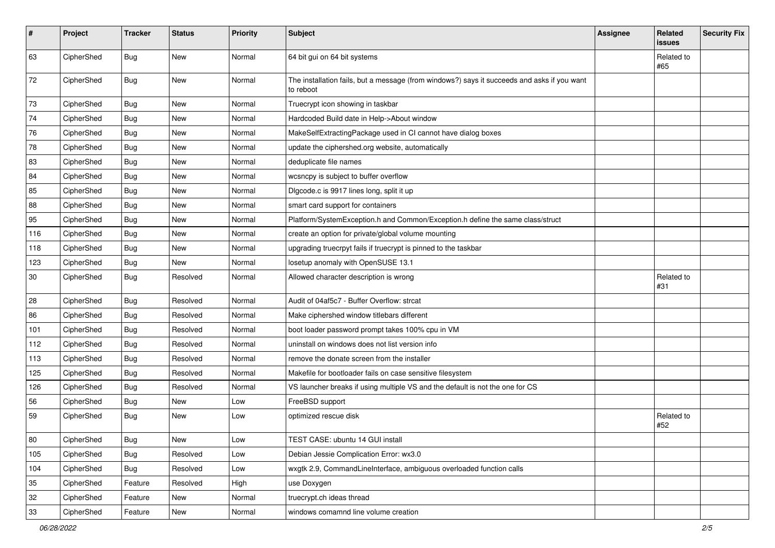| #   | Project    | <b>Tracker</b> | <b>Status</b> | Priority | Subject                                                                                                  | Assignee | Related<br>issues | <b>Security Fix</b> |
|-----|------------|----------------|---------------|----------|----------------------------------------------------------------------------------------------------------|----------|-------------------|---------------------|
| 63  | CipherShed | Bug            | <b>New</b>    | Normal   | 64 bit gui on 64 bit systems                                                                             |          | Related to<br>#65 |                     |
| 72  | CipherShed | Bug            | New           | Normal   | The installation fails, but a message (from windows?) says it succeeds and asks if you want<br>to reboot |          |                   |                     |
| 73  | CipherShed | <b>Bug</b>     | New           | Normal   | Truecrypt icon showing in taskbar                                                                        |          |                   |                     |
| 74  | CipherShed | <b>Bug</b>     | New           | Normal   | Hardcoded Build date in Help->About window                                                               |          |                   |                     |
| 76  | CipherShed | <b>Bug</b>     | New           | Normal   | MakeSelfExtractingPackage used in CI cannot have dialog boxes                                            |          |                   |                     |
| 78  | CipherShed | Bug            | New           | Normal   | update the ciphershed.org website, automatically                                                         |          |                   |                     |
| 83  | CipherShed | <b>Bug</b>     | New           | Normal   | deduplicate file names                                                                                   |          |                   |                     |
| 84  | CipherShed | <b>Bug</b>     | New           | Normal   | wcsncpy is subject to buffer overflow                                                                    |          |                   |                     |
| 85  | CipherShed | Bug            | New           | Normal   | Digcode.c is 9917 lines long, split it up                                                                |          |                   |                     |
| 88  | CipherShed | <b>Bug</b>     | New           | Normal   | smart card support for containers                                                                        |          |                   |                     |
| 95  | CipherShed | <b>Bug</b>     | New           | Normal   | Platform/SystemException.h and Common/Exception.h define the same class/struct                           |          |                   |                     |
| 116 | CipherShed | <b>Bug</b>     | New           | Normal   | create an option for private/global volume mounting                                                      |          |                   |                     |
| 118 | CipherShed | <b>Bug</b>     | New           | Normal   | upgrading truecrpyt fails if truecrypt is pinned to the taskbar                                          |          |                   |                     |
| 123 | CipherShed | Bug            | New           | Normal   | losetup anomaly with OpenSUSE 13.1                                                                       |          |                   |                     |
| 30  | CipherShed | Bug            | Resolved      | Normal   | Allowed character description is wrong                                                                   |          | Related to<br>#31 |                     |
| 28  | CipherShed | Bug            | Resolved      | Normal   | Audit of 04af5c7 - Buffer Overflow: strcat                                                               |          |                   |                     |
| 86  | CipherShed | <b>Bug</b>     | Resolved      | Normal   | Make ciphershed window titlebars different                                                               |          |                   |                     |
| 101 | CipherShed | <b>Bug</b>     | Resolved      | Normal   | boot loader password prompt takes 100% cpu in VM                                                         |          |                   |                     |
| 112 | CipherShed | <b>Bug</b>     | Resolved      | Normal   | uninstall on windows does not list version info                                                          |          |                   |                     |
| 113 | CipherShed | <b>Bug</b>     | Resolved      | Normal   | remove the donate screen from the installer                                                              |          |                   |                     |
| 125 | CipherShed | Bug            | Resolved      | Normal   | Makefile for bootloader fails on case sensitive filesystem                                               |          |                   |                     |
| 126 | CipherShed | <b>Bug</b>     | Resolved      | Normal   | VS launcher breaks if using multiple VS and the default is not the one for CS                            |          |                   |                     |
| 56  | CipherShed | Bug            | New           | Low      | FreeBSD support                                                                                          |          |                   |                     |
| 59  | CipherShed | <b>Bug</b>     | New           | Low      | optimized rescue disk                                                                                    |          | Related to<br>#52 |                     |
| 80  | CipherShed | <b>Bug</b>     | New           | Low      | TEST CASE: ubuntu 14 GUI install                                                                         |          |                   |                     |
| 105 | CipherShed | Bug            | Resolved      | Low      | Debian Jessie Complication Error: wx3.0                                                                  |          |                   |                     |
| 104 | CipherShed | Bug            | Resolved      | Low      | wxgtk 2.9, CommandLineInterface, ambiguous overloaded function calls                                     |          |                   |                     |
| 35  | CipherShed | Feature        | Resolved      | High     | use Doxygen                                                                                              |          |                   |                     |
| 32  | CipherShed | Feature        | New           | Normal   | truecrypt.ch ideas thread                                                                                |          |                   |                     |
| 33  | CipherShed | Feature        | New           | Normal   | windows comamnd line volume creation                                                                     |          |                   |                     |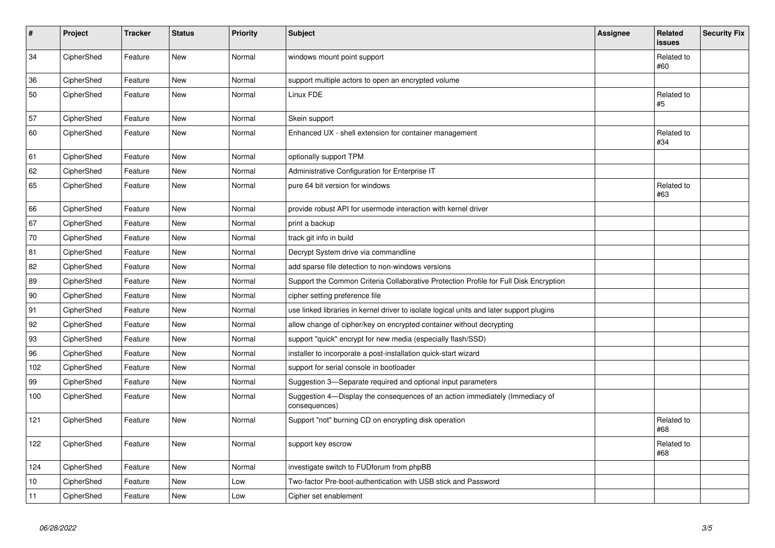| $\vert$ # | Project    | <b>Tracker</b> | <b>Status</b> | <b>Priority</b> | <b>Subject</b>                                                                                | Assignee | <b>Related</b><br><b>issues</b> | <b>Security Fix</b> |
|-----------|------------|----------------|---------------|-----------------|-----------------------------------------------------------------------------------------------|----------|---------------------------------|---------------------|
| 34        | CipherShed | Feature        | New           | Normal          | windows mount point support                                                                   |          | Related to<br>#60               |                     |
| 36        | CipherShed | Feature        | <b>New</b>    | Normal          | support multiple actors to open an encrypted volume                                           |          |                                 |                     |
| 50        | CipherShed | Feature        | New           | Normal          | Linux FDE                                                                                     |          | Related to<br>#5                |                     |
| 57        | CipherShed | Feature        | <b>New</b>    | Normal          | Skein support                                                                                 |          |                                 |                     |
| 60        | CipherShed | Feature        | New           | Normal          | Enhanced UX - shell extension for container management                                        |          | Related to<br>#34               |                     |
| 61        | CipherShed | Feature        | <b>New</b>    | Normal          | optionally support TPM                                                                        |          |                                 |                     |
| 62        | CipherShed | Feature        | <b>New</b>    | Normal          | Administrative Configuration for Enterprise IT                                                |          |                                 |                     |
| 65        | CipherShed | Feature        | <b>New</b>    | Normal          | pure 64 bit version for windows                                                               |          | Related to<br>#63               |                     |
| 66        | CipherShed | Feature        | <b>New</b>    | Normal          | provide robust API for usermode interaction with kernel driver                                |          |                                 |                     |
| 67        | CipherShed | Feature        | <b>New</b>    | Normal          | print a backup                                                                                |          |                                 |                     |
| 70        | CipherShed | Feature        | <b>New</b>    | Normal          | track git info in build                                                                       |          |                                 |                     |
| 81        | CipherShed | Feature        | <b>New</b>    | Normal          | Decrypt System drive via commandline                                                          |          |                                 |                     |
| 82        | CipherShed | Feature        | <b>New</b>    | Normal          | add sparse file detection to non-windows versions                                             |          |                                 |                     |
| 89        | CipherShed | Feature        | <b>New</b>    | Normal          | Support the Common Criteria Collaborative Protection Profile for Full Disk Encryption         |          |                                 |                     |
| 90        | CipherShed | Feature        | <b>New</b>    | Normal          | cipher setting preference file                                                                |          |                                 |                     |
| 91        | CipherShed | Feature        | <b>New</b>    | Normal          | use linked libraries in kernel driver to isolate logical units and later support plugins      |          |                                 |                     |
| 92        | CipherShed | Feature        | <b>New</b>    | Normal          | allow change of cipher/key on encrypted container without decrypting                          |          |                                 |                     |
| 93        | CipherShed | Feature        | <b>New</b>    | Normal          | support "quick" encrypt for new media (especially flash/SSD)                                  |          |                                 |                     |
| 96        | CipherShed | Feature        | <b>New</b>    | Normal          | installer to incorporate a post-installation quick-start wizard                               |          |                                 |                     |
| 102       | CipherShed | Feature        | <b>New</b>    | Normal          | support for serial console in bootloader                                                      |          |                                 |                     |
| 99        | CipherShed | Feature        | <b>New</b>    | Normal          | Suggestion 3-Separate required and optional input parameters                                  |          |                                 |                     |
| 100       | CipherShed | Feature        | <b>New</b>    | Normal          | Suggestion 4—Display the consequences of an action immediately (Immediacy of<br>consequences) |          |                                 |                     |
| 121       | CipherShed | Feature        | <b>New</b>    | Normal          | Support "not" burning CD on encrypting disk operation                                         |          | Related to<br>#68               |                     |
| 122       | CipherShed | Feature        | <b>New</b>    | Normal          | support key escrow                                                                            |          | Related to<br>#68               |                     |
| 124       | CipherShed | Feature        | <b>New</b>    | Normal          | investigate switch to FUDforum from phpBB                                                     |          |                                 |                     |
| 10        | CipherShed | Feature        | <b>New</b>    | Low             | Two-factor Pre-boot-authentication with USB stick and Password                                |          |                                 |                     |
| 11        | CipherShed | Feature        | <b>New</b>    | Low             | Cipher set enablement                                                                         |          |                                 |                     |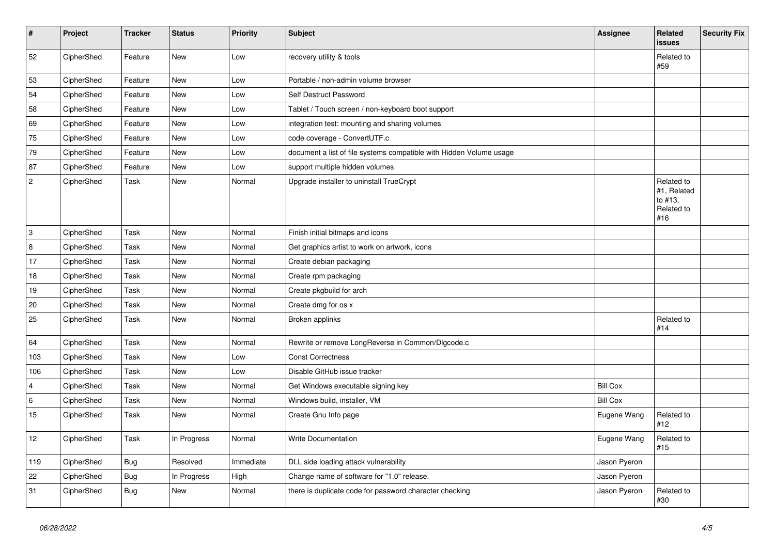| $\vert$ #      | Project    | <b>Tracker</b> | <b>Status</b> | <b>Priority</b> | <b>Subject</b>                                                      | Assignee        | <b>Related</b><br>issues                                  | <b>Security Fix</b> |
|----------------|------------|----------------|---------------|-----------------|---------------------------------------------------------------------|-----------------|-----------------------------------------------------------|---------------------|
| 52             | CipherShed | Feature        | New           | Low             | recovery utility & tools                                            |                 | Related to<br>#59                                         |                     |
| 53             | CipherShed | Feature        | New           | Low             | Portable / non-admin volume browser                                 |                 |                                                           |                     |
| 54             | CipherShed | Feature        | New           | Low             | Self Destruct Password                                              |                 |                                                           |                     |
| 58             | CipherShed | Feature        | New           | Low             | Tablet / Touch screen / non-keyboard boot support                   |                 |                                                           |                     |
| 69             | CipherShed | Feature        | New           | Low             | integration test: mounting and sharing volumes                      |                 |                                                           |                     |
| 75             | CipherShed | Feature        | New           | Low             | code coverage - ConvertUTF.c                                        |                 |                                                           |                     |
| 79             | CipherShed | Feature        | New           | Low             | document a list of file systems compatible with Hidden Volume usage |                 |                                                           |                     |
| 87             | CipherShed | Feature        | New           | Low             | support multiple hidden volumes                                     |                 |                                                           |                     |
| $\sqrt{2}$     | CipherShed | Task           | New           | Normal          | Upgrade installer to uninstall TrueCrypt                            |                 | Related to<br>#1, Related<br>to #13,<br>Related to<br>#16 |                     |
| 3              | CipherShed | Task           | <b>New</b>    | Normal          | Finish initial bitmaps and icons                                    |                 |                                                           |                     |
| 8              | CipherShed | Task           | <b>New</b>    | Normal          | Get graphics artist to work on artwork, icons                       |                 |                                                           |                     |
| 17             | CipherShed | Task           | <b>New</b>    | Normal          | Create debian packaging                                             |                 |                                                           |                     |
| 18             | CipherShed | Task           | New           | Normal          | Create rpm packaging                                                |                 |                                                           |                     |
| 19             | CipherShed | Task           | New           | Normal          | Create pkgbuild for arch                                            |                 |                                                           |                     |
| 20             | CipherShed | Task           | New           | Normal          | Create dmg for os x                                                 |                 |                                                           |                     |
| 25             | CipherShed | Task           | New           | Normal          | Broken applinks                                                     |                 | Related to<br>#14                                         |                     |
| 64             | CipherShed | Task           | New           | Normal          | Rewrite or remove LongReverse in Common/Dlgcode.c                   |                 |                                                           |                     |
| 103            | CipherShed | Task           | New           | Low             | <b>Const Correctness</b>                                            |                 |                                                           |                     |
| 106            | CipherShed | Task           | <b>New</b>    | Low             | Disable GitHub issue tracker                                        |                 |                                                           |                     |
| $\overline{4}$ | CipherShed | Task           | <b>New</b>    | Normal          | Get Windows executable signing key                                  | <b>Bill Cox</b> |                                                           |                     |
| $\,6\,$        | CipherShed | Task           | New           | Normal          | Windows build, installer, VM                                        | <b>Bill Cox</b> |                                                           |                     |
| 15             | CipherShed | Task           | <b>New</b>    | Normal          | Create Gnu Info page                                                | Eugene Wang     | Related to<br>#12                                         |                     |
| 12             | CipherShed | Task           | In Progress   | Normal          | <b>Write Documentation</b>                                          | Eugene Wang     | Related to<br>#15                                         |                     |
| 119            | CipherShed | <b>Bug</b>     | Resolved      | Immediate       | DLL side loading attack vulnerability                               | Jason Pyeron    |                                                           |                     |
| 22             | CipherShed | <b>Bug</b>     | In Progress   | High            | Change name of software for "1.0" release.                          | Jason Pyeron    |                                                           |                     |
| 31             | CipherShed | <b>Bug</b>     | New           | Normal          | there is duplicate code for password character checking             | Jason Pyeron    | Related to<br>#30                                         |                     |